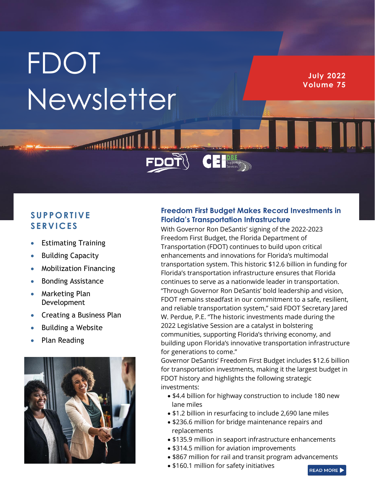# **FDOT** Newsletter

**MULLIPLIANIS** 

**July 2022 Volume 75**

# **S UP P O RT IVE S ERV IC ES**

- Estimating Training
- Building Capacity
- Mobilization Financing
- Bonding Assistance
- Marketing Plan Development
- Creating a Business Plan
- Building a Website
- Plan Reading



### **Freedom First Budget Makes Record Investments in Florida's Transportation Infrastructure**

 $\overline{\textbf{C}}$   $\textbf{E}$   $\text{Suppose}$ 

With Governor Ron DeSantis' signing of the 2022-2023 Freedom First Budget, the Florida Department of Transportation (FDOT) continues to build upon critical enhancements and innovations for Florida's multimodal transportation system. This historic \$12.6 billion in funding for Florida's transportation infrastructure ensures that Florida continues to serve as a nationwide leader in transportation. "Through Governor Ron DeSantis' bold leadership and vision, FDOT remains steadfast in our commitment to a safe, resilient, and reliable transportation system," said FDOT Secretary Jared W. Perdue, P.E. "The historic investments made during the 2022 Legislative Session are a catalyst in bolstering communities, supporting Florida's thriving economy, and building upon Florida's innovative transportation infrastructure for generations to come."

Governor DeSantis' Freedom First Budget includes \$12.6 billion for transportation investments, making it the largest budget in FDOT history and highlights the following strategic investments:

- \$4.4 billion for highway construction to include 180 new lane miles
- \$1.2 billion in resurfacing to include 2,690 lane miles
- \$236.6 million for bridge maintenance repairs and replacements
- \$135.9 million in seaport infrastructure enhancements
- \$314.5 million for aviation improvements
- \$867 million for rail and transit program advancements
- \$160.1 million for safety initiatives